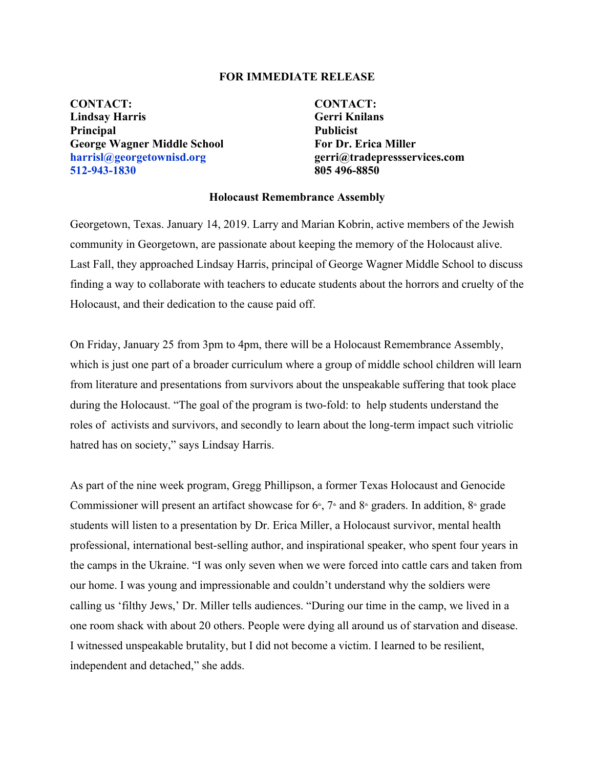## **FOR IMMEDIATE RELEASE**

**CONTACT: CONTACT: Lindsay Harris Gerri Knilans Principal Publicist George Wagner Middle School For Dr. Erica Miller harrisl@georgetownisd.org gerri@tradepressservices.com 512-943-1830 805 496-8850**

## **Holocaust Remembrance Assembly**

Georgetown, Texas. January 14, 2019. Larry and Marian Kobrin, active members of the Jewish community in Georgetown, are passionate about keeping the memory of the Holocaust alive. Last Fall, they approached Lindsay Harris, principal of George Wagner Middle School to discuss finding a way to collaborate with teachers to educate students about the horrors and cruelty of the Holocaust, and their dedication to the cause paid off.

On Friday, January 25 from 3pm to 4pm, there will be a Holocaust Remembrance Assembly, which is just one part of a broader curriculum where a group of middle school children will learn from literature and presentations from survivors about the unspeakable suffering that took place during the Holocaust. "The goal of the program is two-fold: to help students understand the roles of activists and survivors, and secondly to learn about the long-term impact such vitriolic hatred has on society," says Lindsay Harris.

As part of the nine week program, Gregg Phillipson, a former Texas Holocaust and Genocide Commissioner will present an artifact showcase for  $6<sup>th</sup>$ ,  $7<sup>th</sup>$  and  $8<sup>th</sup>$  graders. In addition,  $8<sup>th</sup>$  grade students will listen to a presentation by Dr. Erica Miller, a Holocaust survivor, mental health professional, international best-selling author, and inspirational speaker, who spent four years in the camps in the Ukraine. "I was only seven when we were forced into cattle cars and taken from our home. I was young and impressionable and couldn't understand why the soldiers were calling us 'filthy Jews,' Dr. Miller tells audiences. "During our time in the camp, we lived in a one room shack with about 20 others. People were dying all around us of starvation and disease. I witnessed unspeakable brutality, but I did not become a victim. I learned to be resilient, independent and detached," she adds.